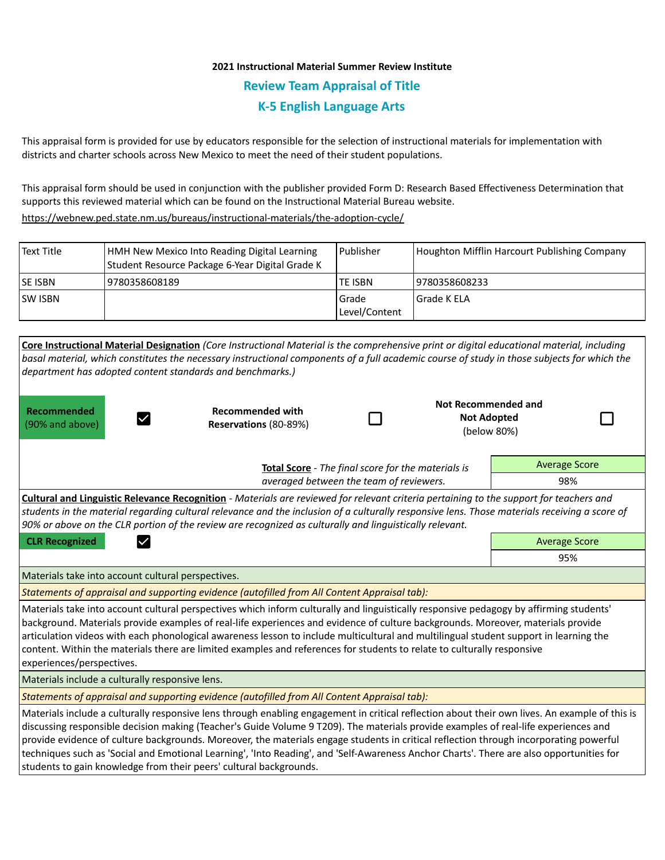## **2021 Instructional Material Summer Review Institute Review Team Appraisal of Title K-5 English Language Arts**

This appraisal form is provided for use by educators responsible for the selection of instructional materials for implementation with districts and charter schools across New Mexico to meet the need of their student populations.

This appraisal form should be used in conjunction with the publisher provided Form D: Research Based Effectiveness Determination that supports this reviewed material which can be found on the Instructional Material Bureau website.

<https://webnew.ped.state.nm.us/bureaus/instructional-materials/the-adoption-cycle/>

| l Text Title    | HMH New Mexico Into Reading Digital Learning<br>Student Resource Package 6-Year Digital Grade K | l Publisher              | Houghton Mifflin Harcourt Publishing Company |
|-----------------|-------------------------------------------------------------------------------------------------|--------------------------|----------------------------------------------|
| <b>ISE ISBN</b> | 9780358608189                                                                                   | TE ISBN                  | 19780358608233                               |
| <b>ISW ISBN</b> |                                                                                                 | l Grade<br>Level/Content | l Grade K ELA                                |

| department has adopted content standards and benchmarks.)                                                                                                                                                                                                                                                                                                                                                                                                                                                                                                                    | Core Instructional Material Designation (Core Instructional Material is the comprehensive print or digital educational material, including<br>basal material, which constitutes the necessary instructional components of a full academic course of study in those subjects for which the                                                                                                                                                                                                                                                                                   |     |                                                          |                      |                      |  |
|------------------------------------------------------------------------------------------------------------------------------------------------------------------------------------------------------------------------------------------------------------------------------------------------------------------------------------------------------------------------------------------------------------------------------------------------------------------------------------------------------------------------------------------------------------------------------|-----------------------------------------------------------------------------------------------------------------------------------------------------------------------------------------------------------------------------------------------------------------------------------------------------------------------------------------------------------------------------------------------------------------------------------------------------------------------------------------------------------------------------------------------------------------------------|-----|----------------------------------------------------------|----------------------|----------------------|--|
| Recommended<br>(90% and above)                                                                                                                                                                                                                                                                                                                                                                                                                                                                                                                                               | <b>Recommended with</b><br>Reservations (80-89%)                                                                                                                                                                                                                                                                                                                                                                                                                                                                                                                            |     | Not Recommended and<br><b>Not Adopted</b><br>(below 80%) |                      |                      |  |
| Total Score - The final score for the materials is                                                                                                                                                                                                                                                                                                                                                                                                                                                                                                                           |                                                                                                                                                                                                                                                                                                                                                                                                                                                                                                                                                                             |     |                                                          |                      | <b>Average Score</b> |  |
|                                                                                                                                                                                                                                                                                                                                                                                                                                                                                                                                                                              | averaged between the team of reviewers.                                                                                                                                                                                                                                                                                                                                                                                                                                                                                                                                     | 98% |                                                          |                      |                      |  |
|                                                                                                                                                                                                                                                                                                                                                                                                                                                                                                                                                                              | Cultural and Linguistic Relevance Recognition - Materials are reviewed for relevant criteria pertaining to the support for teachers and<br>students in the material regarding cultural relevance and the inclusion of a culturally responsive lens. Those materials receiving a score of<br>90% or above on the CLR portion of the review are recognized as culturally and linguistically relevant.                                                                                                                                                                         |     |                                                          |                      |                      |  |
| <b>CLR Recognized</b><br>$\checkmark$                                                                                                                                                                                                                                                                                                                                                                                                                                                                                                                                        |                                                                                                                                                                                                                                                                                                                                                                                                                                                                                                                                                                             |     |                                                          | <b>Average Score</b> |                      |  |
|                                                                                                                                                                                                                                                                                                                                                                                                                                                                                                                                                                              |                                                                                                                                                                                                                                                                                                                                                                                                                                                                                                                                                                             | 95% |                                                          |                      |                      |  |
| Materials take into account cultural perspectives.                                                                                                                                                                                                                                                                                                                                                                                                                                                                                                                           |                                                                                                                                                                                                                                                                                                                                                                                                                                                                                                                                                                             |     |                                                          |                      |                      |  |
|                                                                                                                                                                                                                                                                                                                                                                                                                                                                                                                                                                              | Statements of appraisal and supporting evidence (autofilled from All Content Appraisal tab):                                                                                                                                                                                                                                                                                                                                                                                                                                                                                |     |                                                          |                      |                      |  |
| Materials take into account cultural perspectives which inform culturally and linguistically responsive pedagogy by affirming students'<br>background. Materials provide examples of real-life experiences and evidence of culture backgrounds. Moreover, materials provide<br>articulation videos with each phonological awareness lesson to include multicultural and multilingual student support in learning the<br>content. Within the materials there are limited examples and references for students to relate to culturally responsive<br>experiences/perspectives. |                                                                                                                                                                                                                                                                                                                                                                                                                                                                                                                                                                             |     |                                                          |                      |                      |  |
| Materials include a culturally responsive lens.                                                                                                                                                                                                                                                                                                                                                                                                                                                                                                                              |                                                                                                                                                                                                                                                                                                                                                                                                                                                                                                                                                                             |     |                                                          |                      |                      |  |
|                                                                                                                                                                                                                                                                                                                                                                                                                                                                                                                                                                              | Statements of appraisal and supporting evidence (autofilled from All Content Appraisal tab):                                                                                                                                                                                                                                                                                                                                                                                                                                                                                |     |                                                          |                      |                      |  |
| students to gain knowledge from their peers' cultural backgrounds.                                                                                                                                                                                                                                                                                                                                                                                                                                                                                                           | Materials include a culturally responsive lens through enabling engagement in critical reflection about their own lives. An example of this is<br>discussing responsible decision making (Teacher's Guide Volume 9 T209). The materials provide examples of real-life experiences and<br>provide evidence of culture backgrounds. Moreover, the materials engage students in critical reflection through incorporating powerful<br>techniques such as 'Social and Emotional Learning', 'Into Reading', and 'Self-Awareness Anchor Charts'. There are also opportunities for |     |                                                          |                      |                      |  |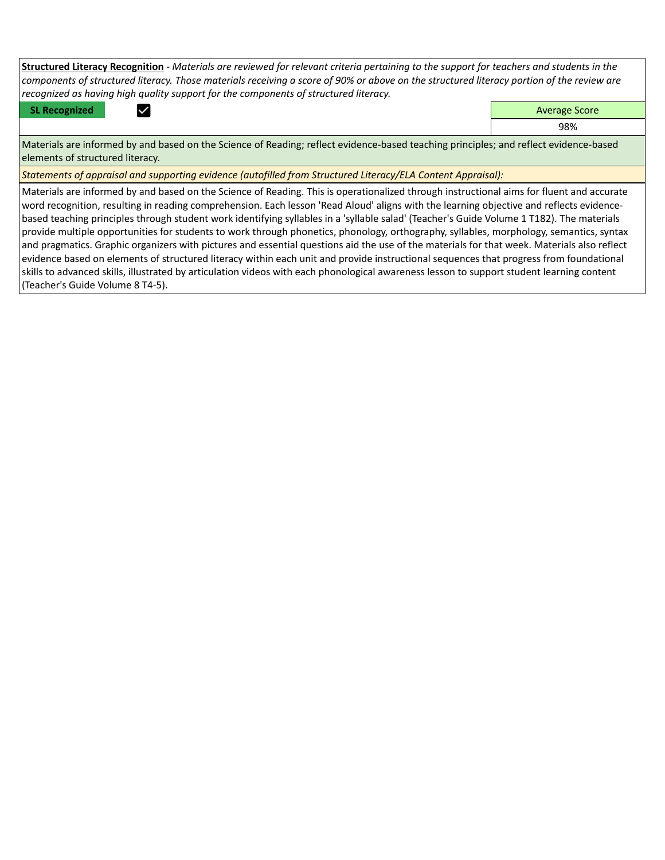**Structured Literacy Recognition** - *Materials are reviewed for relevant criteria pertaining to the support for teachers and students in the components of structured literacy. Those materials receiving a score of 90% or above on the structured literacy portion of the review are recognized as having high quality support for the components of structured literacy.*

**SL Recognized Average Score** Average Score and Average Score and Average Score and Average Score and Average Score

98%

Materials are informed by and based on the Science of Reading; reflect evidence-based teaching principles; and reflect evidence-based elements of structured literacy.

*Statements of appraisal and supporting evidence (autofilled from Structured Literacy/ELA Content Appraisal):* 

Materials are informed by and based on the Science of Reading. This is operationalized through instructional aims for fluent and accurate word recognition, resulting in reading comprehension. Each lesson 'Read Aloud' aligns with the learning objective and reflects evidencebased teaching principles through student work identifying syllables in a 'syllable salad' (Teacher's Guide Volume 1 T182). The materials provide multiple opportunities for students to work through phonetics, phonology, orthography, syllables, morphology, semantics, syntax and pragmatics. Graphic organizers with pictures and essential questions aid the use of the materials for that week. Materials also reflect evidence based on elements of structured literacy within each unit and provide instructional sequences that progress from foundational skills to advanced skills, illustrated by articulation videos with each phonological awareness lesson to support student learning content (Teacher's Guide Volume 8 T4-5).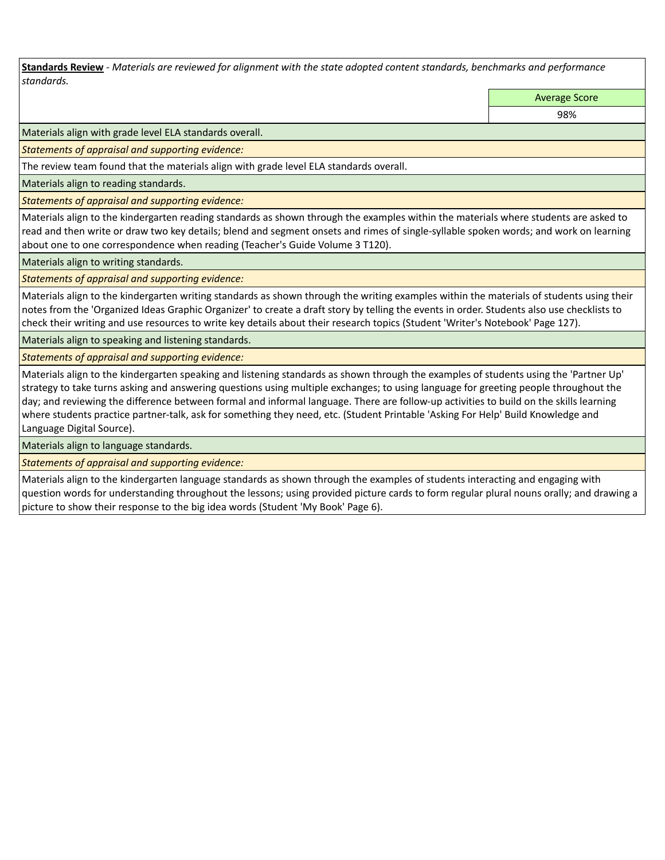**Standards Review** *- Materials are reviewed for alignment with the state adopted content standards, benchmarks and performance standards.*

Average Score

98%

Materials align with grade level ELA standards overall.

*Statements of appraisal and supporting evidence:* 

The review team found that the materials align with grade level ELA standards overall.

Materials align to reading standards.

*Statements of appraisal and supporting evidence:* 

Materials align to the kindergarten reading standards as shown through the examples within the materials where students are asked to read and then write or draw two key details; blend and segment onsets and rimes of single-syllable spoken words; and work on learning about one to one correspondence when reading (Teacher's Guide Volume 3 T120).

Materials align to writing standards.

*Statements of appraisal and supporting evidence:* 

Materials align to the kindergarten writing standards as shown through the writing examples within the materials of students using their notes from the 'Organized Ideas Graphic Organizer' to create a draft story by telling the events in order. Students also use checklists to check their writing and use resources to write key details about their research topics (Student 'Writer's Notebook' Page 127).

Materials align to speaking and listening standards.

*Statements of appraisal and supporting evidence:* 

Materials align to the kindergarten speaking and listening standards as shown through the examples of students using the 'Partner Up' strategy to take turns asking and answering questions using multiple exchanges; to using language for greeting people throughout the day; and reviewing the difference between formal and informal language. There are follow-up activities to build on the skills learning where students practice partner-talk, ask for something they need, etc. (Student Printable 'Asking For Help' Build Knowledge and Language Digital Source).

Materials align to language standards.

*Statements of appraisal and supporting evidence:* 

Materials align to the kindergarten language standards as shown through the examples of students interacting and engaging with question words for understanding throughout the lessons; using provided picture cards to form regular plural nouns orally; and drawing a picture to show their response to the big idea words (Student 'My Book' Page 6).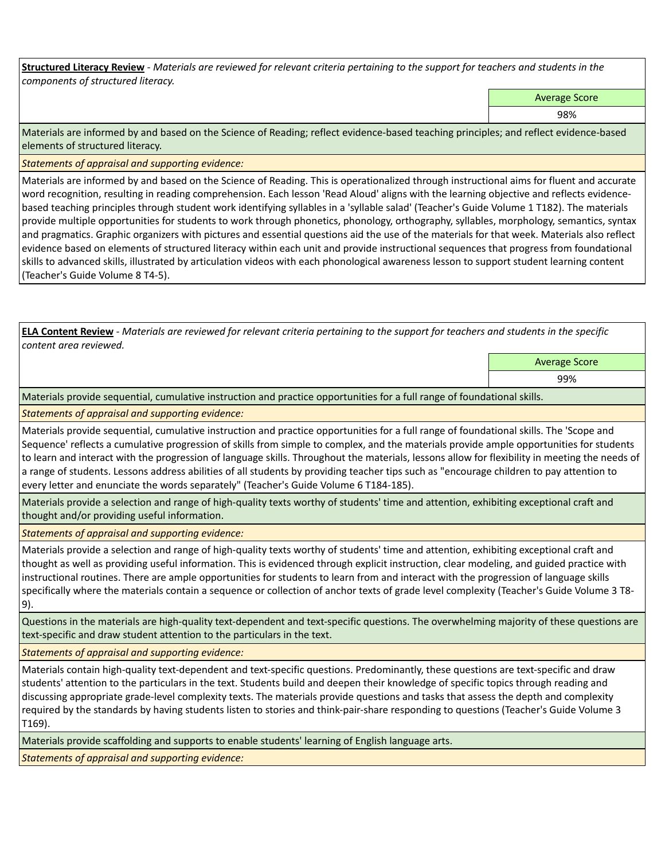**Structured Literacy Review** *- Materials are reviewed for relevant criteria pertaining to the support for teachers and students in the components of structured literacy.*

Average Score

98%

Materials are informed by and based on the Science of Reading; reflect evidence-based teaching principles; and reflect evidence-based elements of structured literacy.

*Statements of appraisal and supporting evidence:*

Materials are informed by and based on the Science of Reading. This is operationalized through instructional aims for fluent and accurate word recognition, resulting in reading comprehension. Each lesson 'Read Aloud' aligns with the learning objective and reflects evidencebased teaching principles through student work identifying syllables in a 'syllable salad' (Teacher's Guide Volume 1 T182). The materials provide multiple opportunities for students to work through phonetics, phonology, orthography, syllables, morphology, semantics, syntax and pragmatics. Graphic organizers with pictures and essential questions aid the use of the materials for that week. Materials also reflect evidence based on elements of structured literacy within each unit and provide instructional sequences that progress from foundational skills to advanced skills, illustrated by articulation videos with each phonological awareness lesson to support student learning content (Teacher's Guide Volume 8 T4-5).

**ELA Content Review** *- Materials are reviewed for relevant criteria pertaining to the support for teachers and students in the specific content area reviewed.*

Average Score

99%

Materials provide sequential, cumulative instruction and practice opportunities for a full range of foundational skills.

*Statements of appraisal and supporting evidence:* 

Materials provide sequential, cumulative instruction and practice opportunities for a full range of foundational skills. The 'Scope and Sequence' reflects a cumulative progression of skills from simple to complex, and the materials provide ample opportunities for students to learn and interact with the progression of language skills. Throughout the materials, lessons allow for flexibility in meeting the needs of a range of students. Lessons address abilities of all students by providing teacher tips such as "encourage children to pay attention to every letter and enunciate the words separately" (Teacher's Guide Volume 6 T184-185).

Materials provide a selection and range of high-quality texts worthy of students' time and attention, exhibiting exceptional craft and thought and/or providing useful information.

*Statements of appraisal and supporting evidence:* 

Materials provide a selection and range of high-quality texts worthy of students' time and attention, exhibiting exceptional craft and thought as well as providing useful information. This is evidenced through explicit instruction, clear modeling, and guided practice with instructional routines. There are ample opportunities for students to learn from and interact with the progression of language skills specifically where the materials contain a sequence or collection of anchor texts of grade level complexity (Teacher's Guide Volume 3 T8- 9).

Questions in the materials are high-quality text-dependent and text-specific questions. The overwhelming majority of these questions are text-specific and draw student attention to the particulars in the text.

*Statements of appraisal and supporting evidence:* 

Materials contain high-quality text-dependent and text-specific questions. Predominantly, these questions are text-specific and draw students' attention to the particulars in the text. Students build and deepen their knowledge of specific topics through reading and discussing appropriate grade-level complexity texts. The materials provide questions and tasks that assess the depth and complexity required by the standards by having students listen to stories and think-pair-share responding to questions (Teacher's Guide Volume 3 T169).

Materials provide scaffolding and supports to enable students' learning of English language arts.

*Statements of appraisal and supporting evidence:*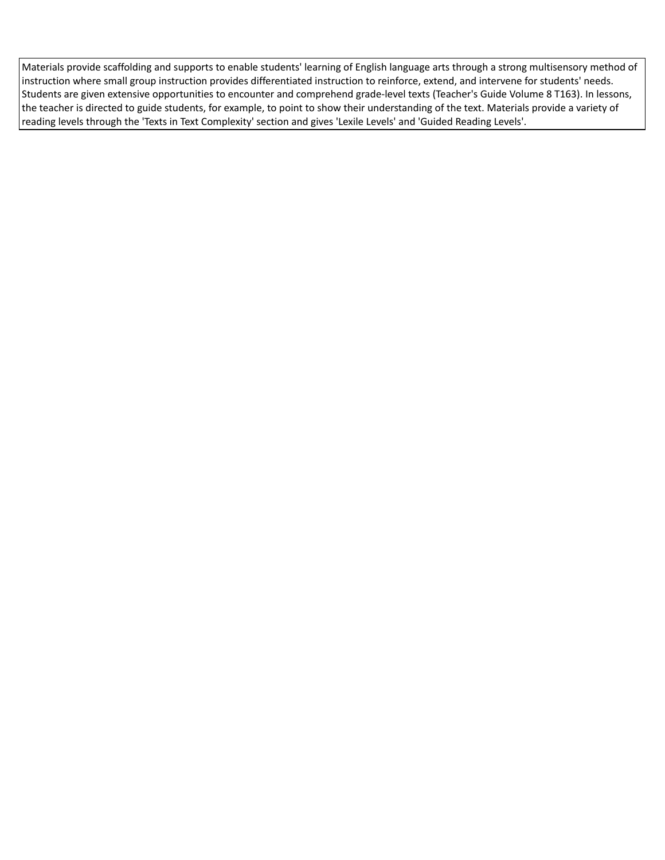Materials provide scaffolding and supports to enable students' learning of English language arts through a strong multisensory method of instruction where small group instruction provides differentiated instruction to reinforce, extend, and intervene for students' needs. Students are given extensive opportunities to encounter and comprehend grade-level texts (Teacher's Guide Volume 8 T163). In lessons, the teacher is directed to guide students, for example, to point to show their understanding of the text. Materials provide a variety of reading levels through the 'Texts in Text Complexity' section and gives 'Lexile Levels' and 'Guided Reading Levels'.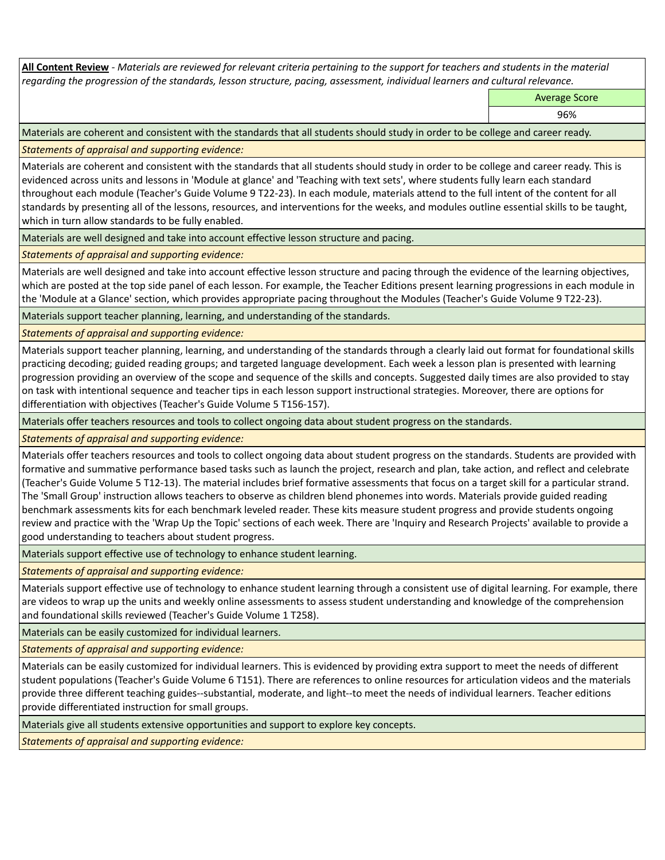**All Content Review** *- Materials are reviewed for relevant criteria pertaining to the support for teachers and students in the material regarding the progression of the standards, lesson structure, pacing, assessment, individual learners and cultural relevance.*

Average Score

96%

Materials are coherent and consistent with the standards that all students should study in order to be college and career ready.

*Statements of appraisal and supporting evidence:*

Materials are coherent and consistent with the standards that all students should study in order to be college and career ready. This is evidenced across units and lessons in 'Module at glance' and 'Teaching with text sets', where students fully learn each standard throughout each module (Teacher's Guide Volume 9 T22-23). In each module, materials attend to the full intent of the content for all standards by presenting all of the lessons, resources, and interventions for the weeks, and modules outline essential skills to be taught, which in turn allow standards to be fully enabled.

Materials are well designed and take into account effective lesson structure and pacing.

*Statements of appraisal and supporting evidence:*

Materials are well designed and take into account effective lesson structure and pacing through the evidence of the learning objectives, which are posted at the top side panel of each lesson. For example, the Teacher Editions present learning progressions in each module in the 'Module at a Glance' section, which provides appropriate pacing throughout the Modules (Teacher's Guide Volume 9 T22-23).

Materials support teacher planning, learning, and understanding of the standards.

*Statements of appraisal and supporting evidence:*

Materials support teacher planning, learning, and understanding of the standards through a clearly laid out format for foundational skills practicing decoding; guided reading groups; and targeted language development. Each week a lesson plan is presented with learning progression providing an overview of the scope and sequence of the skills and concepts. Suggested daily times are also provided to stay on task with intentional sequence and teacher tips in each lesson support instructional strategies. Moreover, there are options for differentiation with objectives (Teacher's Guide Volume 5 T156-157).

Materials offer teachers resources and tools to collect ongoing data about student progress on the standards.

*Statements of appraisal and supporting evidence:*

Materials offer teachers resources and tools to collect ongoing data about student progress on the standards. Students are provided with formative and summative performance based tasks such as launch the project, research and plan, take action, and reflect and celebrate (Teacher's Guide Volume 5 T12-13). The material includes brief formative assessments that focus on a target skill for a particular strand. The 'Small Group' instruction allows teachers to observe as children blend phonemes into words. Materials provide guided reading benchmark assessments kits for each benchmark leveled reader. These kits measure student progress and provide students ongoing review and practice with the 'Wrap Up the Topic' sections of each week. There are 'Inquiry and Research Projects' available to provide a good understanding to teachers about student progress.

Materials support effective use of technology to enhance student learning.

*Statements of appraisal and supporting evidence:*

Materials support effective use of technology to enhance student learning through a consistent use of digital learning. For example, there are videos to wrap up the units and weekly online assessments to assess student understanding and knowledge of the comprehension and foundational skills reviewed (Teacher's Guide Volume 1 T258).

Materials can be easily customized for individual learners.

*Statements of appraisal and supporting evidence:* 

Materials can be easily customized for individual learners. This is evidenced by providing extra support to meet the needs of different student populations (Teacher's Guide Volume 6 T151). There are references to online resources for articulation videos and the materials provide three different teaching guides--substantial, moderate, and light--to meet the needs of individual learners. Teacher editions provide differentiated instruction for small groups.

Materials give all students extensive opportunities and support to explore key concepts.

*Statements of appraisal and supporting evidence:*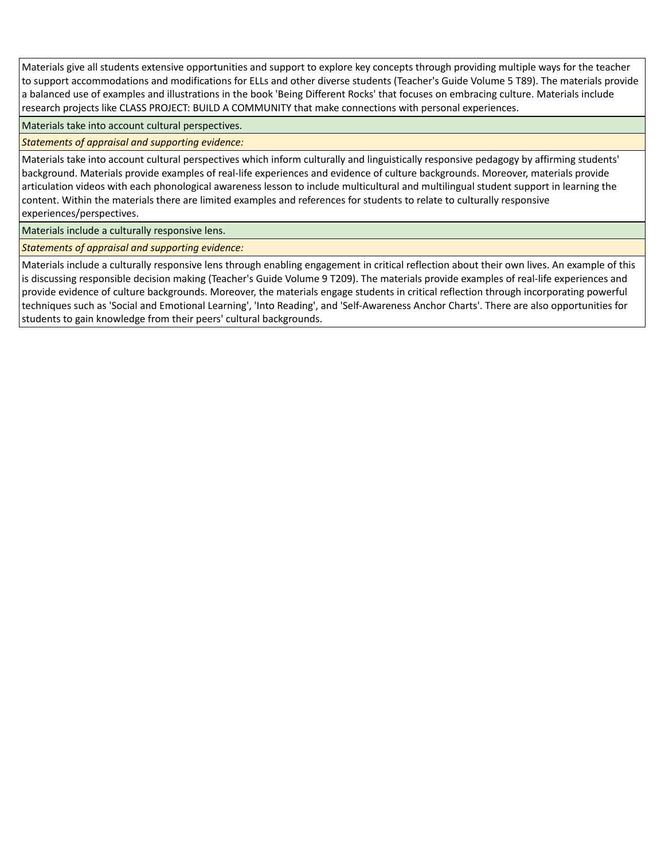Materials give all students extensive opportunities and support to explore key concepts through providing multiple ways for the teacher to support accommodations and modifications for ELLs and other diverse students (Teacher's Guide Volume 5 T89). The materials provide a balanced use of examples and illustrations in the book 'Being Different Rocks' that focuses on embracing culture. Materials include research projects like CLASS PROJECT: BUILD A COMMUNITY that make connections with personal experiences.

Materials take into account cultural perspectives.

*Statements of appraisal and supporting evidence:*

Materials take into account cultural perspectives which inform culturally and linguistically responsive pedagogy by affirming students' background. Materials provide examples of real-life experiences and evidence of culture backgrounds. Moreover, materials provide articulation videos with each phonological awareness lesson to include multicultural and multilingual student support in learning the content. Within the materials there are limited examples and references for students to relate to culturally responsive experiences/perspectives.

Materials include a culturally responsive lens.

*Statements of appraisal and supporting evidence:*

Materials include a culturally responsive lens through enabling engagement in critical reflection about their own lives. An example of this is discussing responsible decision making (Teacher's Guide Volume 9 T209). The materials provide examples of real-life experiences and provide evidence of culture backgrounds. Moreover, the materials engage students in critical reflection through incorporating powerful techniques such as 'Social and Emotional Learning', 'Into Reading', and 'Self-Awareness Anchor Charts'. There are also opportunities for students to gain knowledge from their peers' cultural backgrounds.